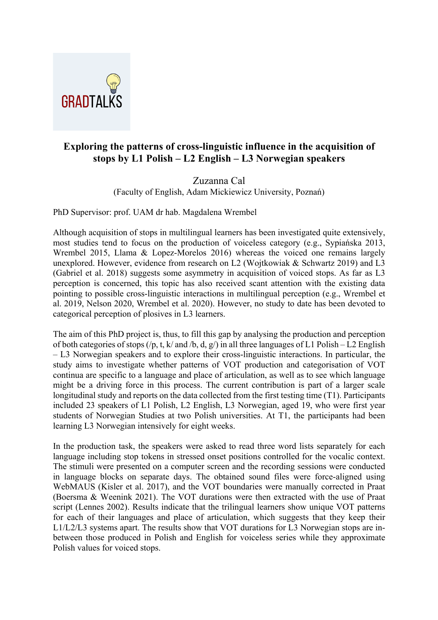

## **Exploring the patterns of cross-linguistic influence in the acquisition of stops by L1 Polish – L2 English – L3 Norwegian speakers**

## Zuzanna Cal

(Faculty of English, Adam Mickiewicz University, Poznań)

PhD Supervisor: prof. UAM dr hab. Magdalena Wrembel

Although acquisition of stops in multilingual learners has been investigated quite extensively, most studies tend to focus on the production of voiceless category (e.g., Sypiańska 2013, Wrembel 2015, Llama & Lopez-Morelos 2016) whereas the voiced one remains largely unexplored. However, evidence from research on L2 (Wojtkowiak & Schwartz 2019) and L3 (Gabriel et al. 2018) suggests some asymmetry in acquisition of voiced stops. As far as L3 perception is concerned, this topic has also received scant attention with the existing data pointing to possible cross-linguistic interactions in multilingual perception (e.g., Wrembel et al. 2019, Nelson 2020, Wrembel et al. 2020). However, no study to date has been devoted to categorical perception of plosives in L3 learners.

The aim of this PhD project is, thus, to fill this gap by analysing the production and perception of both categories of stops (/p, t, k/ and /b, d, g/) in all three languages of L1 Polish – L2 English – L3 Norwegian speakers and to explore their cross-linguistic interactions. In particular, the study aims to investigate whether patterns of VOT production and categorisation of VOT continua are specific to a language and place of articulation, as well as to see which language might be a driving force in this process. The current contribution is part of a larger scale longitudinal study and reports on the data collected from the first testing time (T1). Participants included 23 speakers of L1 Polish, L2 English, L3 Norwegian, aged 19, who were first year students of Norwegian Studies at two Polish universities. At T1, the participants had been learning L3 Norwegian intensively for eight weeks.

In the production task, the speakers were asked to read three word lists separately for each language including stop tokens in stressed onset positions controlled for the vocalic context. The stimuli were presented on a computer screen and the recording sessions were conducted in language blocks on separate days. The obtained sound files were force-aligned using WebMAUS (Kisler et al. 2017), and the VOT boundaries were manually corrected in Praat (Boersma & Weenink 2021). The VOT durations were then extracted with the use of Praat script (Lennes 2002). Results indicate that the trilingual learners show unique VOT patterns for each of their languages and place of articulation, which suggests that they keep their L1/L2/L3 systems apart. The results show that VOT durations for L3 Norwegian stops are inbetween those produced in Polish and English for voiceless series while they approximate Polish values for voiced stops.